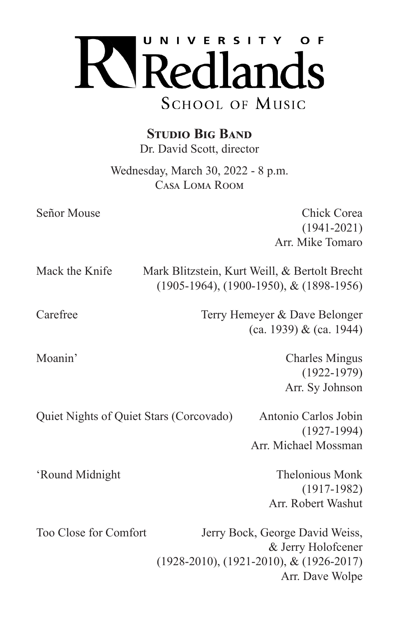

**Studio Big Band**

Dr. David Scott, director

Wednesday, March 30, 2022 - 8 p.m. Casa Loma Room

Señor Mouse Chick Corea (1941-2021) Arr. Mike Tomaro

Mack the Knife Mark Blitzstein, Kurt Weill, & Bertolt Brecht

Carefree Terry Hemeyer & Dave Belonger (ca. 1939) & (ca. 1944)

(1905-1964), (1900-1950), & (1898-1956)

Moanin' Charles Mingus (1922-1979) Arr. Sy Johnson

Quiet Nights of Quiet Stars (Corcovado) Antonio Carlos Jobin (1927-1994) Arr. Michael Mossman

'Round Midnight Thelonious Monk (1917-1982) Arr. Robert Washut

Too Close for Comfort Jerry Bock, George David Weiss, & Jerry Holofcener (1928-2010), (1921-2010), & (1926-2017) Arr. Dave Wolpe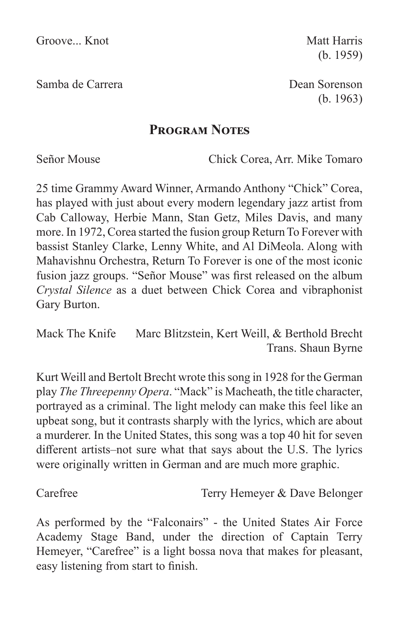Samba de Carrera Dean Sorenson

(b. 1959)

(b. 1963)

## **Program Notes**

Señor Mouse Chick Corea, Arr. Mike Tomaro

25 time Grammy Award Winner, Armando Anthony "Chick" Corea, has played with just about every modern legendary jazz artist from Cab Calloway, Herbie Mann, Stan Getz, Miles Davis, and many more. In 1972, Corea started the fusion group Return To Forever with bassist Stanley Clarke, Lenny White, and Al DiMeola. Along with Mahavishnu Orchestra, Return To Forever is one of the most iconic fusion jazz groups. "Señor Mouse" was first released on the album *Crystal Silence* as a duet between Chick Corea and vibraphonist Gary Burton.

Mack The Knife Marc Blitzstein, Kert Weill, & Berthold Brecht Trans. Shaun Byrne

Kurt Weill and Bertolt Brecht wrote this song in 1928 for the German play *The Threepenny Opera*. "Mack" is Macheath, the title character, portrayed as a criminal. The light melody can make this feel like an upbeat song, but it contrasts sharply with the lyrics, which are about a murderer. In the United States, this song was a top 40 hit for seven different artists–not sure what that says about the U.S. The lyrics were originally written in German and are much more graphic.

Carefree Terry Hemeyer & Dave Belonger

As performed by the "Falconairs" - the United States Air Force Academy Stage Band, under the direction of Captain Terry Hemeyer, "Carefree" is a light bossa nova that makes for pleasant, easy listening from start to finish.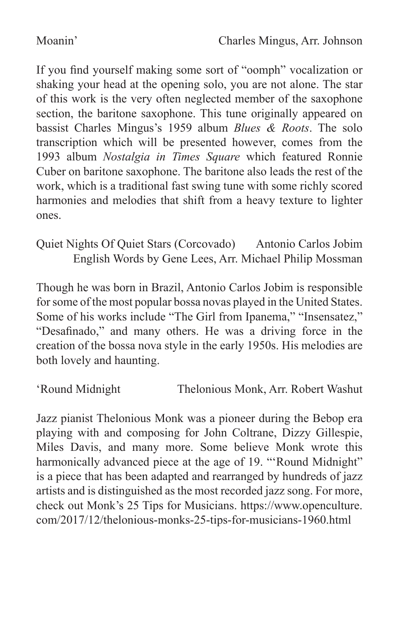If you find yourself making some sort of "oomph" vocalization or shaking your head at the opening solo, you are not alone. The star of this work is the very often neglected member of the saxophone section, the baritone saxophone. This tune originally appeared on bassist Charles Mingus's 1959 album *Blues & Roots*. The solo transcription which will be presented however, comes from the 1993 album *Nostalgia in Times Square* which featured Ronnie Cuber on baritone saxophone. The baritone also leads the rest of the work, which is a traditional fast swing tune with some richly scored harmonies and melodies that shift from a heavy texture to lighter ones.

Quiet Nights Of Quiet Stars (Corcovado) Antonio Carlos Jobim English Words by Gene Lees, Arr. Michael Philip Mossman

Though he was born in Brazil, Antonio Carlos Jobim is responsible for some of the most popular bossa novas played in the United States. Some of his works include "The Girl from Ipanema," "Insensatez," "Desafinado," and many others. He was a driving force in the creation of the bossa nova style in the early 1950s. His melodies are both lovely and haunting.

'Round Midnight Thelonious Monk, Arr. Robert Washut

Jazz pianist Thelonious Monk was a pioneer during the Bebop era playing with and composing for John Coltrane, Dizzy Gillespie, Miles Davis, and many more. Some believe Monk wrote this harmonically advanced piece at the age of 19. "'Round Midnight" is a piece that has been adapted and rearranged by hundreds of jazz artists and is distinguished as the most recorded jazz song. For more, check out Monk's 25 Tips for Musicians. https://www.openculture. com/2017/12/thelonious-monks-25-tips-for-musicians-1960.html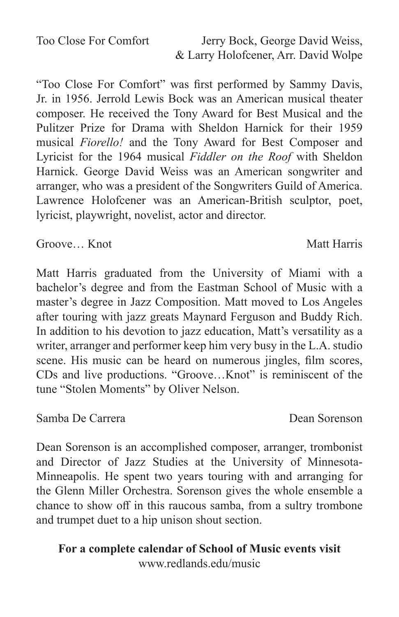Too Close For Comfort Jerry Bock, George David Weiss,

& Larry Holofcener, Arr. David Wolpe

"Too Close For Comfort" was first performed by Sammy Davis, Jr. in 1956. Jerrold Lewis Bock was an American musical theater composer. He received the Tony Award for Best Musical and the Pulitzer Prize for Drama with Sheldon Harnick for their 1959 musical *Fiorello!* and the Tony Award for Best Composer and Lyricist for the 1964 musical *Fiddler on the Roof* with Sheldon Harnick. George David Weiss was an American songwriter and arranger, who was a president of the Songwriters Guild of America. Lawrence Holofcener was an American-British sculptor, poet, lyricist, playwright, novelist, actor and director.

Groove... Knot Matt Harris

Matt Harris graduated from the University of Miami with a bachelor's degree and from the Eastman School of Music with a master's degree in Jazz Composition. Matt moved to Los Angeles after touring with jazz greats Maynard Ferguson and Buddy Rich. In addition to his devotion to jazz education, Matt's versatility as a writer, arranger and performer keep him very busy in the L.A. studio scene. His music can be heard on numerous jingles, film scores, CDs and live productions. "Groove…Knot" is reminiscent of the tune "Stolen Moments" by Oliver Nelson.

Samba De Carrera Dean Sorenson

Dean Sorenson is an accomplished composer, arranger, trombonist and Director of Jazz Studies at the University of Minnesota-Minneapolis. He spent two years touring with and arranging for the Glenn Miller Orchestra. Sorenson gives the whole ensemble a chance to show off in this raucous samba, from a sultry trombone and trumpet duet to a hip unison shout section.

## **For a complete calendar of School of Music events visit** www.redlands.edu/music